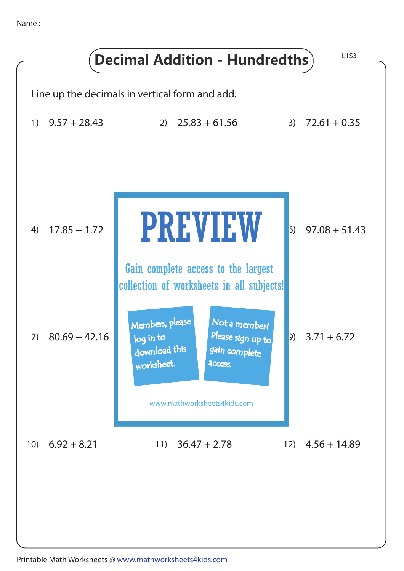